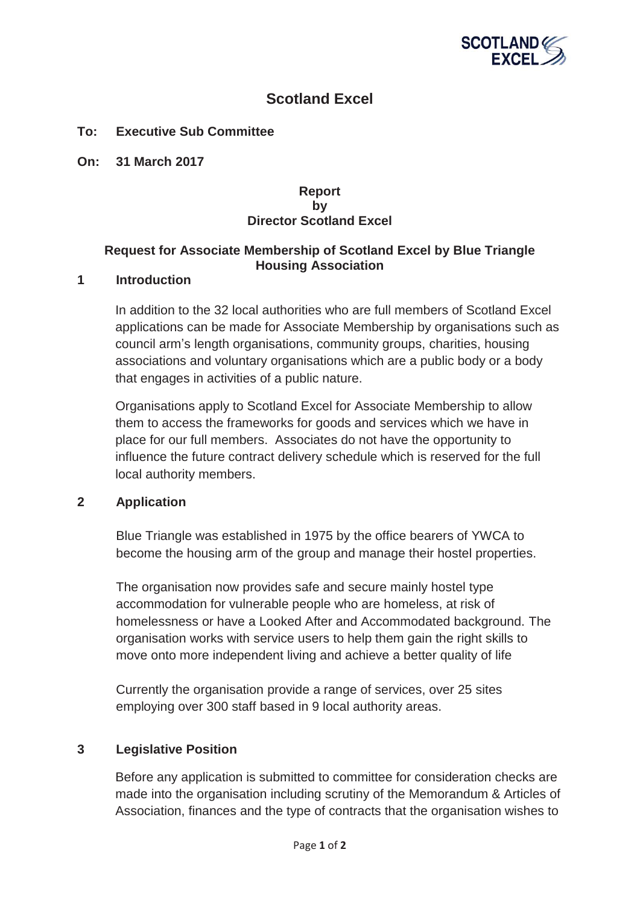

# **Scotland Excel**

## **To: Executive Sub Committee**

**On: 31 March 2017** 

#### **Report by Director Scotland Excel**

#### **Request for Associate Membership of Scotland Excel by Blue Triangle Housing Association**

#### **1 Introduction**

In addition to the 32 local authorities who are full members of Scotland Excel applications can be made for Associate Membership by organisations such as council arm's length organisations, community groups, charities, housing associations and voluntary organisations which are a public body or a body that engages in activities of a public nature.

Organisations apply to Scotland Excel for Associate Membership to allow them to access the frameworks for goods and services which we have in place for our full members. Associates do not have the opportunity to influence the future contract delivery schedule which is reserved for the full local authority members.

#### **2 Application**

Blue Triangle was established in 1975 by the office bearers of YWCA to become the housing arm of the group and manage their hostel properties.

The organisation now provides safe and secure mainly hostel type accommodation for vulnerable people who are homeless, at risk of homelessness or have a Looked After and Accommodated background. The organisation works with service users to help them gain the right skills to move onto more independent living and achieve a better quality of life

Currently the organisation provide a range of services, over 25 sites employing over 300 staff based in 9 local authority areas.

## **3 Legislative Position**

Before any application is submitted to committee for consideration checks are made into the organisation including scrutiny of the Memorandum & Articles of Association, finances and the type of contracts that the organisation wishes to